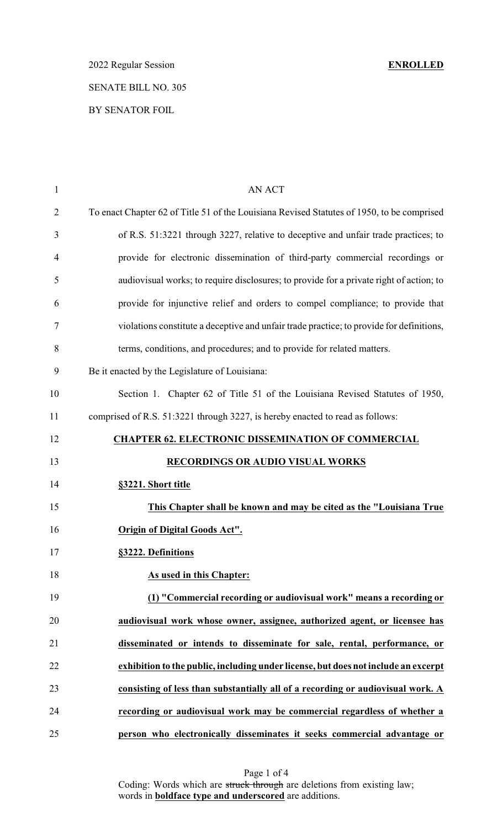# 2022 Regular Session **ENROLLED** SENATE BILL NO. 305 BY SENATOR FOIL

| $\mathbf{1}$   | <b>AN ACT</b>                                                                              |
|----------------|--------------------------------------------------------------------------------------------|
| $\overline{2}$ | To enact Chapter 62 of Title 51 of the Louisiana Revised Statutes of 1950, to be comprised |
| 3              | of R.S. 51:3221 through 3227, relative to deceptive and unfair trade practices; to         |
| 4              | provide for electronic dissemination of third-party commercial recordings or               |
| 5              | audiovisual works; to require disclosures; to provide for a private right of action; to    |
| 6              | provide for injunctive relief and orders to compel compliance; to provide that             |
| 7              | violations constitute a deceptive and unfair trade practice; to provide for definitions,   |
| 8              | terms, conditions, and procedures; and to provide for related matters.                     |
| 9              | Be it enacted by the Legislature of Louisiana:                                             |
| 10             | Section 1. Chapter 62 of Title 51 of the Louisiana Revised Statutes of 1950,               |
| 11             | comprised of R.S. 51:3221 through 3227, is hereby enacted to read as follows:              |
| 12             | <b>CHAPTER 62. ELECTRONIC DISSEMINATION OF COMMERCIAL</b>                                  |
| 13             | <b>RECORDINGS OR AUDIO VISUAL WORKS</b>                                                    |
| 14             | §3221. Short title                                                                         |
| 15             | This Chapter shall be known and may be cited as the "Louisiana True"                       |
| 16             | <b>Origin of Digital Goods Act".</b>                                                       |
| 17             | §3222. Definitions                                                                         |
| 18             | As used in this Chapter:                                                                   |
| 19             | (1) "Commercial recording or audiovisual work" means a recording or                        |
| 20             | audiovisual work whose owner, assignee, authorized agent, or licensee has                  |
| 21             | disseminated or intends to disseminate for sale, rental, performance, or                   |
| 22             | exhibition to the public, including under license, but does not include an excerpt         |
| 23             | consisting of less than substantially all of a recording or audiovisual work. A            |
| 24             | recording or audiovisual work may be commercial regardless of whether a                    |
| 25             | person who electronically disseminates it seeks commercial advantage or                    |

Page 1 of 4 Coding: Words which are struck through are deletions from existing law; words in **boldface type and underscored** are additions.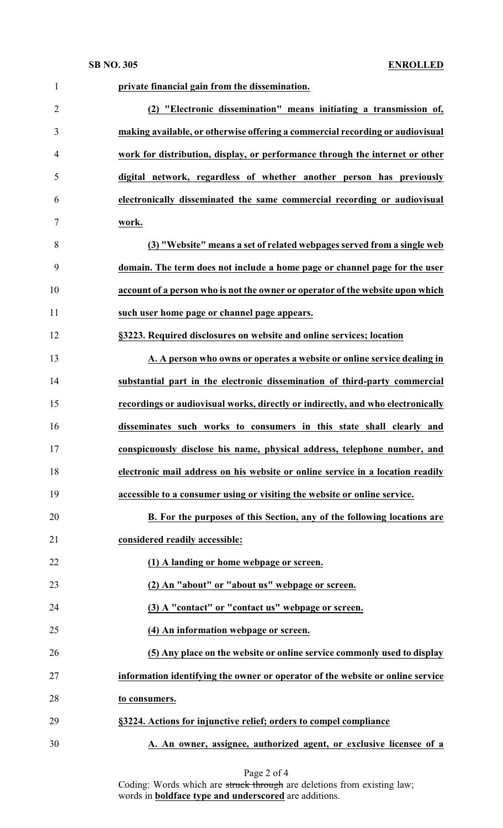| $\mathbf{1}$   | private financial gain from the dissemination.                                  |
|----------------|---------------------------------------------------------------------------------|
| $\overline{2}$ | (2) "Electronic dissemination" means initiating a transmission of,              |
| 3              | making available, or otherwise offering a commercial recording or audiovisual   |
| $\overline{4}$ | work for distribution, display, or performance through the internet or other    |
| 5              | digital network, regardless of whether another person has previously            |
| 6              | electronically disseminated the same commercial recording or audiovisual        |
| 7              | work.                                                                           |
| 8              | (3) "Website" means a set of related webpages served from a single web          |
| 9              | domain. The term does not include a home page or channel page for the user      |
| 10             | account of a person who is not the owner or operator of the website upon which  |
| 11             | such user home page or channel page appears.                                    |
| 12             | §3223. Required disclosures on website and online services; location            |
| 13             | A. A person who owns or operates a website or online service dealing in         |
| 14             | substantial part in the electronic dissemination of third-party commercial      |
| 15             | recordings or audiovisual works, directly or indirectly, and who electronically |
| 16             | disseminates such works to consumers in this state shall clearly and            |
| 17             | conspicuously disclose his name, physical address, telephone number, and        |
| 18             | electronic mail address on his website or online service in a location readily  |
| 19             | accessible to a consumer using or visiting the website or online service.       |
| 20             | B. For the purposes of this Section, any of the following locations are         |
| 21             | considered readily accessible:                                                  |
| 22             | (1) A landing or home webpage or screen.                                        |
| 23             | (2) An "about" or "about us" webpage or screen.                                 |
| 24             | (3) A "contact" or "contact us" webpage or screen.                              |
| 25             | (4) An information webpage or screen.                                           |
| 26             | (5) Any place on the website or online service commonly used to display         |
| 27             | information identifying the owner or operator of the website or online service  |
| 28             | to consumers.                                                                   |
| 29             | §3224. Actions for injunctive relief; orders to compel compliance               |
| 30             | A. An owner, assignee, authorized agent, or exclusive licensee of a             |

### Page 2 of 4

Coding: Words which are struck through are deletions from existing law; words in **boldface type and underscored** are additions.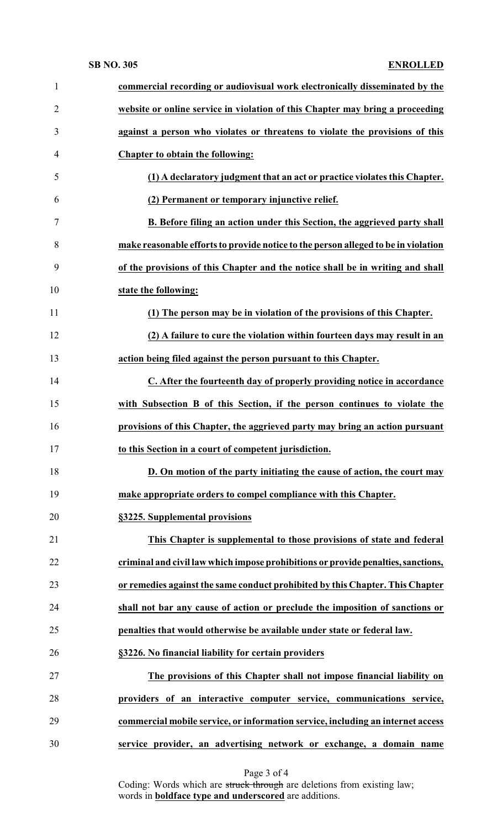# **SB NO. 305 ENROLLED**

| $\mathbf{1}$   | commercial recording or audiovisual work electronically disseminated by the        |
|----------------|------------------------------------------------------------------------------------|
| $\overline{2}$ | website or online service in violation of this Chapter may bring a proceeding      |
| 3              | against a person who violates or threatens to violate the provisions of this       |
| $\overline{4}$ | Chapter to obtain the following:                                                   |
| 5              | (1) A declaratory judgment that an act or practice violates this Chapter.          |
| 6              | (2) Permanent or temporary injunctive relief.                                      |
| $\tau$         | B. Before filing an action under this Section, the aggrieved party shall           |
| 8              | make reasonable efforts to provide notice to the person alleged to be in violation |
| 9              | of the provisions of this Chapter and the notice shall be in writing and shall     |
| 10             | state the following:                                                               |
| 11             | (1) The person may be in violation of the provisions of this Chapter.              |
| 12             | (2) A failure to cure the violation within fourteen days may result in an          |
| 13             | action being filed against the person pursuant to this Chapter.                    |
| 14             | C. After the fourteenth day of properly providing notice in accordance             |
| 15             | with Subsection B of this Section, if the person continues to violate the          |
| 16             | provisions of this Chapter, the aggrieved party may bring an action pursuant       |
| 17             | to this Section in a court of competent jurisdiction.                              |
| 18             | D. On motion of the party initiating the cause of action, the court may            |
| 19             | make appropriate orders to compel compliance with this Chapter.                    |
| 20             | §3225. Supplemental provisions                                                     |
| 21             | This Chapter is supplemental to those provisions of state and federal              |
| 22             | criminal and civil law which impose prohibitions or provide penalties, sanctions,  |
| 23             | or remedies against the same conduct prohibited by this Chapter. This Chapter      |
| 24             | shall not bar any cause of action or preclude the imposition of sanctions or       |
| 25             | penalties that would otherwise be available under state or federal law.            |
| 26             | §3226. No financial liability for certain providers                                |
| 27             | The provisions of this Chapter shall not impose financial liability on             |
| 28             | providers of an interactive computer service, communications service,              |
| 29             | commercial mobile service, or information service, including an internet access    |
| 30             | service provider, an advertising network or exchange, a domain name                |

Page 3 of 4

Coding: Words which are struck through are deletions from existing law; words in **boldface type and underscored** are additions.